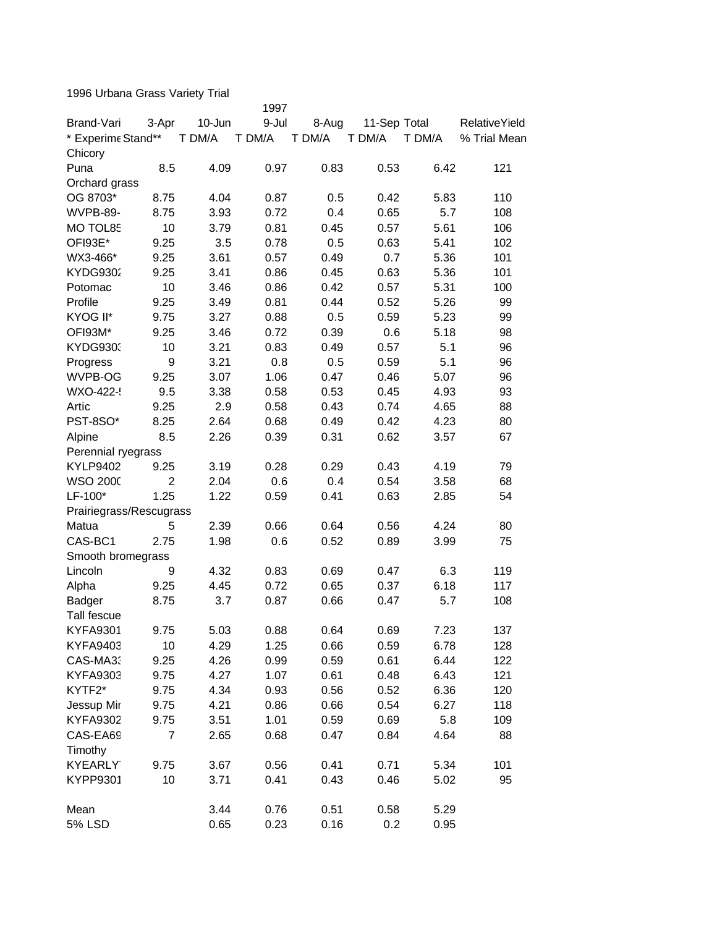1996 Urbana Grass Variety Trial

|                               |                |        | 1997   |        |              |        |                      |
|-------------------------------|----------------|--------|--------|--------|--------------|--------|----------------------|
| Brand-Vari                    | 3-Apr          | 10-Jun | 9-Jul  | 8-Aug  | 11-Sep Total |        | <b>RelativeYield</b> |
| * Experime Stand**<br>Chicory |                | T DM/A | T DM/A | T DM/A | T DM/A       | T DM/A | % Trial Mean         |
| Puna                          | 8.5            | 4.09   | 0.97   | 0.83   | 0.53         | 6.42   | 121                  |
| Orchard grass                 |                |        |        |        |              |        |                      |
| OG 8703*                      | 8.75           | 4.04   | 0.87   | 0.5    | 0.42         | 5.83   | 110                  |
| WVPB-89-                      | 8.75           | 3.93   | 0.72   | 0.4    | 0.65         | 5.7    | 108                  |
| MO TOL85                      | 10             | 3.79   | 0.81   | 0.45   | 0.57         | 5.61   | 106                  |
| OFI93E*                       | 9.25           | 3.5    | 0.78   | 0.5    | 0.63         | 5.41   | 102                  |
| WX3-466*                      | 9.25           | 3.61   | 0.57   | 0.49   | 0.7          | 5.36   | 101                  |
| <b>KYDG9302</b>               | 9.25           | 3.41   | 0.86   | 0.45   | 0.63         | 5.36   | 101                  |
| Potomac                       | 10             | 3.46   | 0.86   | 0.42   | 0.57         | 5.31   | 100                  |
| Profile                       | 9.25           | 3.49   | 0.81   | 0.44   | 0.52         | 5.26   | 99                   |
| KYOG II*                      | 9.75           | 3.27   | 0.88   | 0.5    | 0.59         | 5.23   | 99                   |
| OFI93M*                       | 9.25           | 3.46   | 0.72   | 0.39   | 0.6          | 5.18   | 98                   |
| <b>KYDG9303</b>               | 10             | 3.21   | 0.83   | 0.49   | 0.57         | 5.1    | 96                   |
| Progress                      | 9              | 3.21   | 0.8    | 0.5    | 0.59         | 5.1    | 96                   |
| WVPB-OG                       | 9.25           | 3.07   | 1.06   | 0.47   | 0.46         | 5.07   | 96                   |
| WXO-422-                      | 9.5            | 3.38   | 0.58   | 0.53   | 0.45         | 4.93   | 93                   |
| Artic                         | 9.25           | 2.9    | 0.58   | 0.43   | 0.74         | 4.65   | 88                   |
| PST-8SO*                      | 8.25           | 2.64   | 0.68   | 0.49   | 0.42         | 4.23   | 80                   |
| Alpine                        | 8.5            | 2.26   | 0.39   | 0.31   | 0.62         | 3.57   | 67                   |
| Perennial ryegrass            |                |        |        |        |              |        |                      |
| <b>KYLP9402</b>               | 9.25           | 3.19   | 0.28   | 0.29   | 0.43         | 4.19   | 79                   |
| <b>WSO 2000</b>               | $\overline{2}$ | 2.04   | 0.6    | 0.4    | 0.54         | 3.58   | 68                   |
| LF-100*                       | 1.25           | 1.22   | 0.59   | 0.41   | 0.63         | 2.85   | 54                   |
| Prairiegrass/Rescugrass       |                |        |        |        |              |        |                      |
| Matua                         | 5              | 2.39   | 0.66   | 0.64   | 0.56         | 4.24   | 80                   |
| CAS-BC1                       | 2.75           | 1.98   | 0.6    | 0.52   | 0.89         | 3.99   | 75                   |
| Smooth bromegrass             |                |        |        |        |              |        |                      |
| Lincoln                       | 9              | 4.32   | 0.83   | 0.69   | 0.47         | 6.3    | 119                  |
| Alpha                         | 9.25           | 4.45   | 0.72   | 0.65   | 0.37         | 6.18   | 117                  |
| Badger                        | 8.75           | 3.7    | 0.87   | 0.66   | 0.47         | 5.7    | 108                  |
| Tall fescue                   |                |        |        |        |              |        |                      |
| <b>KYFA9301</b>               | 9.75           | 5.03   | 0.88   | 0.64   | 0.69         | 7.23   | 137                  |
| <b>KYFA9403</b>               | 10             | 4.29   | 1.25   | 0.66   | 0.59         | 6.78   | 128                  |
| CAS-MA3:                      | 9.25           | 4.26   | 0.99   | 0.59   | 0.61         | 6.44   | 122                  |
| <b>KYFA9303</b>               | 9.75           | 4.27   | 1.07   | 0.61   | 0.48         | 6.43   | 121                  |
| KYTF2*                        | 9.75           | 4.34   | 0.93   | 0.56   | 0.52         | 6.36   | 120                  |
| Jessup Mir                    | 9.75           | 4.21   | 0.86   | 0.66   | 0.54         | 6.27   | 118                  |
| <b>KYFA9302</b>               | 9.75           | 3.51   | 1.01   | 0.59   | 0.69         | 5.8    | 109                  |
| CAS-EA69                      | 7              | 2.65   | 0.68   | 0.47   | 0.84         | 4.64   | 88                   |
| Timothy                       |                |        |        |        |              |        |                      |
| <b>KYEARLY</b>                | 9.75           | 3.67   | 0.56   | 0.41   | 0.71         | 5.34   | 101                  |
| <b>KYPP9301</b>               | 10             | 3.71   | 0.41   | 0.43   | 0.46         | 5.02   | 95                   |
| Mean                          |                | 3.44   | 0.76   | 0.51   | 0.58         | 5.29   |                      |
| <b>5% LSD</b>                 |                | 0.65   | 0.23   | 0.16   | 0.2          | 0.95   |                      |